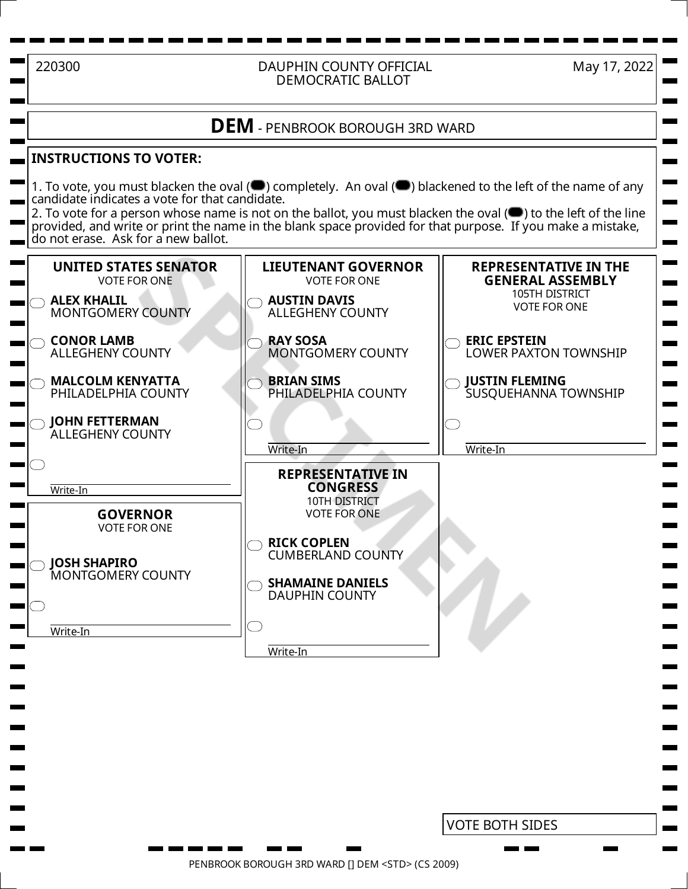## 220300 DAUPHIN COUNTY OFFICIAL DEMOCRATIC BALLOT

May 17, 2022

## **DEM** - PENBROOK BOROUGH 3RD WARD

## **INSTRUCTIONS TO VOTER:**

1. To vote, you must blacken the oval (●) completely. An oval (●) blackened to the left of the name of any candidate indicates a vote for that candidate.

2. To vote for a person whose name is not on the ballot, you must blacken the oval  $($ , to the left of the line provided, and write or print the name in the blank space provided for that purpose. If you make a mistake, do not erase. Ask for a new ballot.